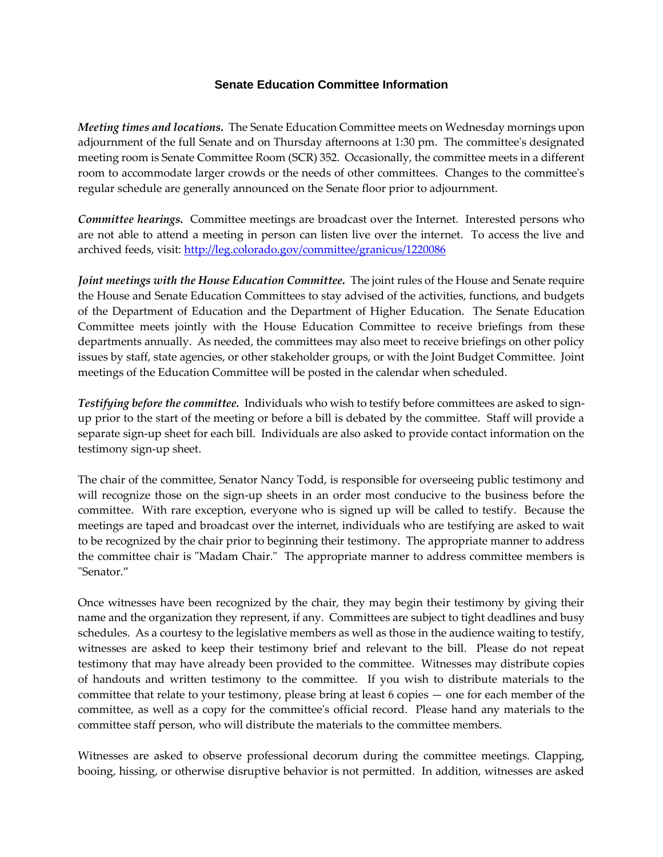## **Senate Education Committee Information**

*Meeting times and locations***.** The Senate Education Committee meets on Wednesday mornings upon adjournment of the full Senate and on Thursday afternoons at 1:30 pm. The committee's designated meeting room is Senate Committee Room (SCR) 352. Occasionally, the committee meets in a different room to accommodate larger crowds or the needs of other committees. Changes to the committee's regular schedule are generally announced on the Senate floor prior to adjournment.

*Committee hearings.* Committee meetings are broadcast over the Internet. Interested persons who are not able to attend a meeting in person can listen live over the internet. To access the live and archived feeds, visit:<http://leg.colorado.gov/committee/granicus/1220086>

*Joint meetings with the House Education Committee.* The joint rules of the House and Senate require the House and Senate Education Committees to stay advised of the activities, functions, and budgets of the Department of Education and the Department of Higher Education. The Senate Education Committee meets jointly with the House Education Committee to receive briefings from these departments annually. As needed, the committees may also meet to receive briefings on other policy issues by staff, state agencies, or other stakeholder groups, or with the Joint Budget Committee. Joint meetings of the Education Committee will be posted in the calendar when scheduled.

*Testifying before the committee.* Individuals who wish to testify before committees are asked to signup prior to the start of the meeting or before a bill is debated by the committee. Staff will provide a separate sign-up sheet for each bill. Individuals are also asked to provide contact information on the testimony sign-up sheet.

The chair of the committee, Senator Nancy Todd, is responsible for overseeing public testimony and will recognize those on the sign-up sheets in an order most conducive to the business before the committee. With rare exception, everyone who is signed up will be called to testify. Because the meetings are taped and broadcast over the internet, individuals who are testifying are asked to wait to be recognized by the chair prior to beginning their testimony. The appropriate manner to address the committee chair is "Madam Chair." The appropriate manner to address committee members is "Senator."

Once witnesses have been recognized by the chair, they may begin their testimony by giving their name and the organization they represent, if any. Committees are subject to tight deadlines and busy schedules. As a courtesy to the legislative members as well as those in the audience waiting to testify, witnesses are asked to keep their testimony brief and relevant to the bill. Please do not repeat testimony that may have already been provided to the committee. Witnesses may distribute copies of handouts and written testimony to the committee. If you wish to distribute materials to the committee that relate to your testimony, please bring at least 6 copies — one for each member of the committee, as well as a copy for the committee's official record. Please hand any materials to the committee staff person, who will distribute the materials to the committee members.

Witnesses are asked to observe professional decorum during the committee meetings. Clapping, booing, hissing, or otherwise disruptive behavior is not permitted. In addition, witnesses are asked